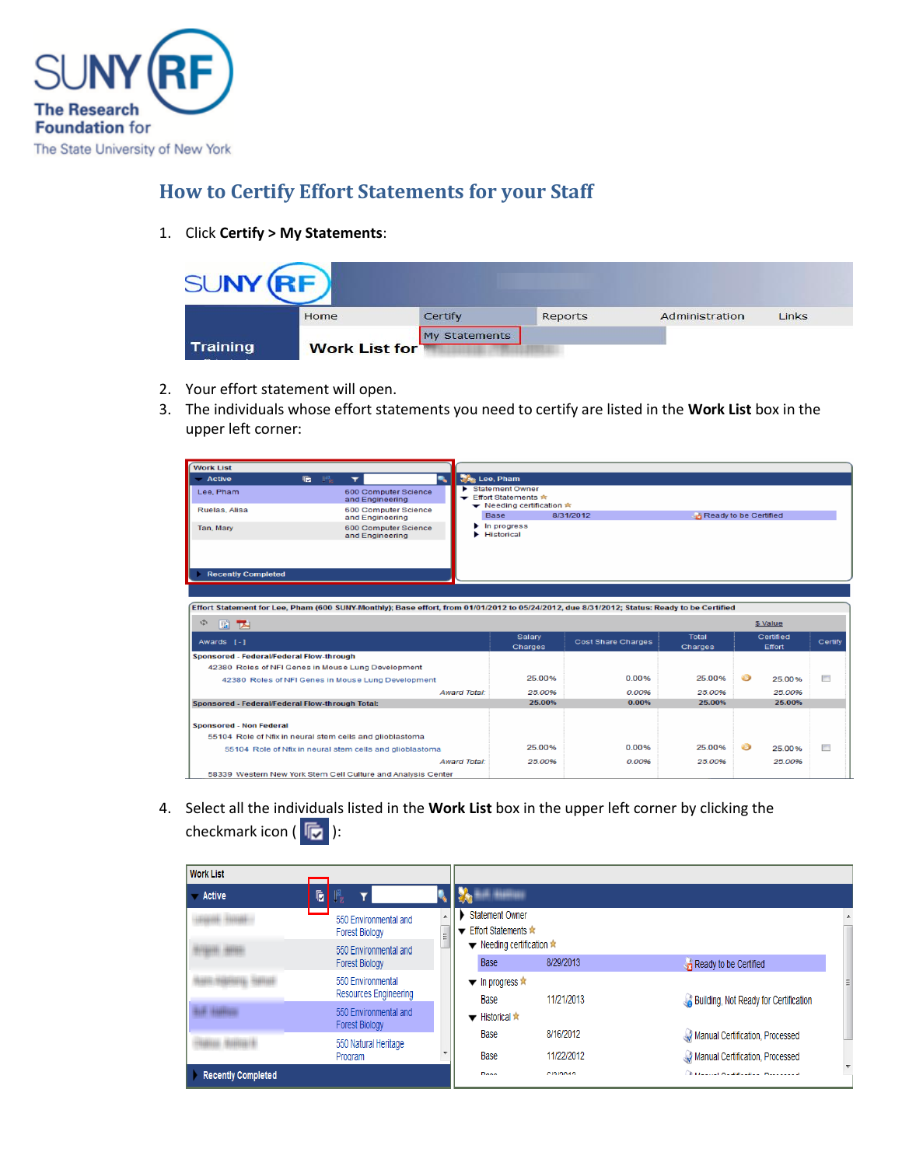

## **How to Certify Effort Statements for your Staff**

1. Click **Certify > My Statements**:

| SI INV          |                      |               |         |                |              |
|-----------------|----------------------|---------------|---------|----------------|--------------|
|                 | Home                 | Certify       | Reports | Administration | <b>Links</b> |
|                 |                      | My Statements |         |                |              |
| <b>Training</b> | <b>Work List for</b> |               |         |                |              |

- 2. Your effort statement will open.
- 3. The individuals whose effort statements you need to certify are listed in the **Work List** box in the upper left corner:

| <b>Work List</b>                                              |                                                                                                                                             |                     |                                                                                            |                           |                         |                       |         |
|---------------------------------------------------------------|---------------------------------------------------------------------------------------------------------------------------------------------|---------------------|--------------------------------------------------------------------------------------------|---------------------------|-------------------------|-----------------------|---------|
| <b>Active</b>                                                 | 圖<br>匾<br>$\overline{\mathbf{r}}$                                                                                                           | ۰.                  | Lee, Pham                                                                                  |                           |                         |                       |         |
| Lee, Pham<br>Ruelas, Alisa                                    | 600 Computer Science<br>and Engineering<br>600 Computer Science<br>and Engineering                                                          |                     | Statement Owner<br><b>▼ Effort Statements ☆</b><br>← Needing certification $\star$<br>Base | 8/31/2012                 |                         | Ready to be Certified |         |
| Tan, Mary                                                     | 600 Computer Science<br>and Engineering                                                                                                     |                     | In progress<br>Historical                                                                  |                           |                         |                       |         |
| <b>Recently Completed</b>                                     |                                                                                                                                             |                     |                                                                                            |                           |                         |                       |         |
|                                                               | Effort Statement for Lee, Pham (600 SUNY-Monthly); Base effort, from 01/01/2012 to 05/24/2012, due 8/31/2012; Status: Ready to be Certified |                     |                                                                                            |                           |                         |                       |         |
| 中<br>国内                                                       |                                                                                                                                             |                     |                                                                                            |                           |                         | \$ Value              |         |
| Awards [-]                                                    |                                                                                                                                             |                     | Salary<br>Charges                                                                          | <b>Cost Share Charges</b> | <b>Total</b><br>Charges | Certified<br>Effort   | Certify |
| Sponsored - Federal/Federal Flow-through                      |                                                                                                                                             |                     |                                                                                            |                           |                         |                       |         |
|                                                               | 42380 Roles of NFI Genes in Mouse Lung Development                                                                                          |                     |                                                                                            |                           |                         |                       |         |
|                                                               | 42380 Roles of NFI Genes in Mouse Lung Development                                                                                          |                     | 25.00%                                                                                     | 0.00%                     | 25.00%                  | 6<br>25.00%           | $\Box$  |
|                                                               |                                                                                                                                             | <b>Award Total:</b> | 25.00%                                                                                     | 0.00%                     | 25.00%                  | 25.00%                |         |
| Sponsored - Federal/Federal Flow-through Total:               |                                                                                                                                             |                     | 25.00%                                                                                     | 0.00%                     | 25.00%                  | 25.00%                |         |
| Sponsored - Non Federal                                       | 55104 Role of Nfix in neural stem cells and glioblastoma                                                                                    |                     |                                                                                            |                           |                         |                       |         |
|                                                               |                                                                                                                                             |                     | 25.00%                                                                                     | 0.00%                     | 25.00%                  | 6<br>25.00%           | $\Box$  |
|                                                               | 55104 Role of Nfix in neural stem cells and glioblastoma                                                                                    | <b>Award Total:</b> | 25.00%                                                                                     | 0.00%                     | 25.00%                  | 25.00%                |         |
| 58339 Western New York Stern Cell Culture and Analysis Center |                                                                                                                                             |                     |                                                                                            |                           |                         |                       |         |

4. Select all the individuals listed in the **Work List** box in the upper left corner by clicking the checkmark icon  $(\sqrt{\overline{\mathbb{F}}})$ :

| <b>Work List</b>          |                                                   |   |                                                                       |                         |                                                                    |  |
|---------------------------|---------------------------------------------------|---|-----------------------------------------------------------------------|-------------------------|--------------------------------------------------------------------|--|
| <b>Active</b>             | G<br>l l'e                                        |   | <b><i><i><u><i><b>AAGHILUSTERS</b></i></u></i></i></b>                |                         |                                                                    |  |
|                           | 550 Environmental and<br><b>Forest Biology</b>    | Ξ | <b>Statement Owner</b><br><b>Effort Statements ★</b>                  |                         |                                                                    |  |
|                           | 550 Environmental and<br><b>Forest Biology</b>    |   | <b>▼</b> Needing certification $\star$<br>Base                        | 8/29/2013               | Ready to be Certified                                              |  |
|                           | 550 Environmental<br><b>Resources Engineering</b> |   | $\blacktriangleright$ In progress $\hat{\blacktriangleright}$<br>Base | 11/21/2013              | Building, Not Ready for Certification                              |  |
|                           | 550 Environmental and<br><b>Forest Biology</b>    |   | $\blacktriangleright$ Historical $\hat{\blacktriangle}$               |                         |                                                                    |  |
|                           | 550 Natural Heritage<br>Program                   |   | Base<br>Base                                                          | 8/16/2012<br>11/22/2012 | Manual Certification, Processed<br>Manual Certification, Processed |  |
| <b>Recently Completed</b> |                                                   |   | Done                                                                  | CIOIDDIA                | <b>Contained Assistantial Provision</b>                            |  |